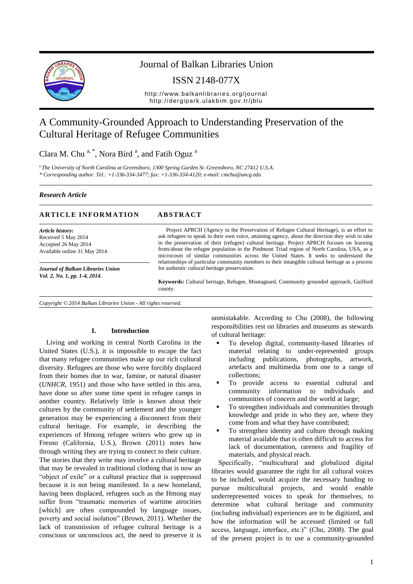

## Journal of Balkan Libraries Union

ISSN 2148-077X

http://www.balkanlibraries.org/journal http://dergipark.ulakbim.gov.tr/jblu

# A Community-Grounded Approach to Understanding Preservation of the Cultural Heritage of Refugee Communities

Clara M. Chu<sup>a,\*</sup>, Nora Bird<sup>a</sup>, and Fatih Oguz<sup>a</sup>

a *The University of North Carolina at Greensboro, 1300 Spring Garden St. Greensboro, NC 27412 U.S.A. \* Corresponding author. Tel.: +1-336-334-3477; fax: +1-336-334-4120; e-mail: cmchu@uncg.edu*

#### *Research Article*

#### **ARTICLE INFORMATION ABSTRACT**

*Article history:* Received 5 May 2014 Accepted 26 May 2014 Available online 31 May 2014

*Journal of Balkan Libraries Union Vol. 2, No. 1, pp. 1-4, 2014.*

Project APRCH (Agency in the Preservation of Refugee Cultural Heritage), is an effort to ask refugees to speak in their own voice, attaining agency, about the direction they wish to take in the preservation of their (refugee) cultural heritage. Project APRCH focuses on learning from/about the refugee population in the Piedmont Triad region of North Carolina, USA, as a microcosm of similar communities across the United States. It seeks to understand the relationships of particular community members to their intangible cultural heritage as a process for authentic cultural heritage preservation.

**Keywords:** Cultural heritage, Refugee, Montagnard, Community grounded approach, Guilford county.

*Copyright © 2014 Balkan Libraries Union - All rights reserved.*

#### **I. Introduction**

Living and working in central North Carolina in the United States (U.S.), it is impossible to escape the fact that many refugee communities make up our rich cultural diversity. Refugees are those who were forcibly displaced from their homes due to war, famine, or natural disaster (*UNHCR*, 1951) and those who have settled in this area, have done so after some time spent in refugee camps in another country. Relatively little is known about their cultures by the community of settlement and the younger generation may be experiencing a disconnect from their cultural heritage. For example, in describing the experiences of Hmong refugee writers who grew up in Fresno (California, U.S.), Brown (2011) notes how through writing they are trying to connect to their culture. The stories that they write may involve a cultural heritage that may be revealed in traditional clothing that is now an "object of exile" or a cultural practice that is suppressed because it is not being manifested. In a new homeland, having been displaced, refugees such as the Hmong may suffer from "traumatic memories of wartime atrocities [which] are often compounded by language issues, poverty and social isolation" (Brown, 2011). Whether the lack of transmission of refugee cultural heritage is a conscious or unconscious act, the need to preserve it is

unmistakable. According to Chu (2008), the following responsibilities rest on libraries and museums as stewards of cultural heritage:

- To develop digital, community-based libraries of material relating to under-represented groups including publications, photographs, artwork, artefacts and multimedia from one to a range of collections;
- To provide access to essential cultural and community information to individuals and communities of concern and the world at large;
- To strengthen individuals and communities through knowledge and pride in who they are, where they come from and what they have contributed;
- To strengthen identity and culture through making material available that is often difficult to access for lack of documentation, rareness and fragility of materials, and physical reach.

Specifically, "multicultural and globalized digital libraries would guarantee the right for all cultural voices to be included, would acquire the necessary funding to pursue multicultural projects, and would enable underrepresented voices to speak for themselves, to determine what cultural heritage and community (including individual) experiences are to be digitized, and how the information will be accessed (limited or full access, language, interface, etc.)" (Chu, 2008). The goal of the present project is to use a community-grounded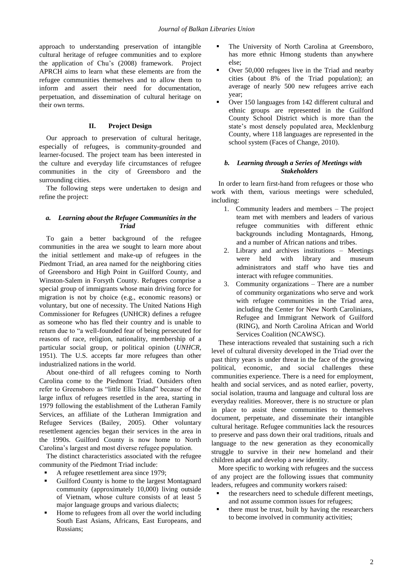approach to understanding preservation of intangible cultural heritage of refugee communities and to explore the application of Chu's (2008) framework. Project APRCH aims to learn what these elements are from the refugee communities themselves and to allow them to inform and assert their need for documentation, perpetuation, and dissemination of cultural heritage on their own terms.

#### **II. Project Design**

Our approach to preservation of cultural heritage, especially of refugees, is community-grounded and learner-focused. The project team has been interested in the culture and everyday life circumstances of refugee communities in the city of Greensboro and the surrounding cities.

The following steps were undertaken to design and refine the project:

### *a. Learning about the Refugee Communities in the Triad*

To gain a better background of the refugee communities in the area we sought to learn more about the initial settlement and make-up of refugees in the Piedmont Triad, an area named for the neighboring cities of Greensboro and High Point in Guilford County, and Winston-Salem in Forsyth County. Refugees comprise a special group of immigrants whose main driving force for migration is not by choice (e.g., economic reasons) or voluntary, but one of necessity. The United Nations High Commissioner for Refugees (UNHCR) defines a refugee as someone who has fled their country and is unable to return due to "a well-founded fear of being persecuted for reasons of race, religion, nationality, membership of a particular social group, or political opinion (*UNHCR*, 1951). The U.S. accepts far more refugees than other industrialized nations in the world.

About one-third of all refugees coming to North Carolina come to the Piedmont Triad. Outsiders often refer to Greensboro as "little Ellis Island" because of the large influx of refugees resettled in the area, starting in 1979 following the establishment of the Lutheran Family Services, an affiliate of the Lutheran Immigration and Refugee Services (Bailey, 2005). Other voluntary resettlement agencies began their services in the area in the 1990s. Guilford County is now home to North Carolina's largest and most diverse refugee population.

The distinct characteristics associated with the refugee community of the Piedmont Triad include:

- A refugee resettlement area since 1979;
- Guilford County is home to the largest Montagnard community (approximately 10,000) living outside of Vietnam, whose culture consists of at least 5 major language groups and various dialects;
- Home to refugees from all over the world including South East Asians, Africans, East Europeans, and Russians;
- The University of North Carolina at Greensboro, has more ethnic Hmong students than anywhere else;
- Over 50,000 refugees live in the Triad and nearby cities (about 8% of the Triad population); an average of nearly 500 new refugees arrive each year;
- Over 150 languages from 142 different cultural and ethnic groups are represented in the Guilford County School District which is more than the state's most densely populated area, Mecklenburg County, where 118 languages are represented in the school system (Faces of Change, 2010).

#### *b. Learning through a Series of Meetings with Stakeholders*

In order to learn first-hand from refugees or those who work with them, various meetings were scheduled, including:

- 1. Community leaders and members The project team met with members and leaders of various refugee communities with different ethnic backgrounds including Montagnards, Hmong, and a number of African nations and tribes.
- 2. Library and archives institutions Meetings were held with library and museum administrators and staff who have ties and interact with refugee communities.
- 3. Community organizations There are a number of community organizations who serve and work with refugee communities in the Triad area, including the Center for New North Carolinians, Refugee and Immigrant Network of Guilford (RING), and North Carolina African and World Services Coalition (NCAWSC).

These interactions revealed that sustaining such a rich level of cultural diversity developed in the Triad over the past thirty years is under threat in the face of the growing political, economic, and social challenges these communities experience. There is a need for employment, health and social services, and as noted earlier, poverty, social isolation, trauma and language and cultural loss are everyday realities. Moreover, there is no structure or plan in place to assist these communities to themselves document, perpetuate, and disseminate their intangible cultural heritage. Refugee communities lack the resources to preserve and pass down their oral traditions, rituals and language to the new generation as they economically struggle to survive in their new homeland and their children adapt and develop a new identity.

More specific to working with refugees and the success of any project are the following issues that community leaders, refugees and community workers raised:

- the researchers need to schedule different meetings, and not assume common issues for refugees;
- there must be trust, built by having the researchers to become involved in community activities;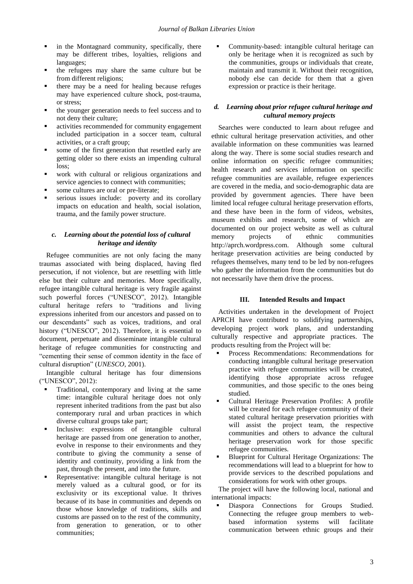- in the Montagnard community, specifically, there may be different tribes, loyalties, religions and languages;
- the refugees may share the same culture but be from different religions;
- there may be a need for healing because refuges may have experienced culture shock, post-trauma, or stress;
- the younger generation needs to feel success and to not deny their culture;
- activities recommended for community engagement included participation in a soccer team, cultural activities, or a craft group;
- some of the first generation that resettled early are getting older so there exists an impending cultural loss;
- work with cultural or religious organizations and service agencies to connect with communities;
- some cultures are oral or pre-literate;
- serious issues include: poverty and its corollary impacts on education and health, social isolation, trauma, and the family power structure.

#### *c. Learning about the potential loss of cultural heritage and identity*

Refugee communities are not only facing the many traumas associated with being displaced, having fled persecution, if not violence, but are resettling with little else but their culture and memories. More specifically, refugee intangible cultural heritage is very fragile against such powerful forces ("UNESCO", 2012). Intangible cultural heritage refers to "traditions and living expressions inherited from our ancestors and passed on to our descendants" such as voices, traditions, and oral history ("UNESCO", 2012). Therefore, it is essential to document, perpetuate and disseminate intangible cultural heritage of refugee communities for constructing and "cementing their sense of common identity in the face of cultural disruption" (*UNESCO*, 2001).

Intangible cultural heritage has four dimensions ("UNESCO", 2012):

- Traditional, contemporary and living at the same time: intangible cultural heritage does not only represent inherited traditions from the past but also contemporary rural and urban practices in which diverse cultural groups take part;
- Inclusive: expressions of intangible cultural heritage are passed from one generation to another, evolve in response to their environments and they contribute to giving the community a sense of identity and continuity, providing a link from the past, through the present, and into the future.
- Representative: intangible cultural heritage is not merely valued as a cultural good, or for its exclusivity or its exceptional value. It thrives because of its base in communities and depends on those whose knowledge of traditions, skills and customs are passed on to the rest of the community, from generation to generation, or to other communities;

 Community-based: intangible cultural heritage can only be heritage when it is recognized as such by the communities, groups or individuals that create, maintain and transmit it. Without their recognition, nobody else can decide for them that a given expression or practice is their heritage.

#### *d. Learning about prior refugee cultural heritage and cultural memory projects*

Searches were conducted to learn about refugee and ethnic cultural heritage preservation activities, and other available information on these communities was learned along the way. There is some social studies research and online information on specific refugee communities; health research and services information on specific refugee communities are available, refugee experiences are covered in the media, and socio-demographic data are provided by government agencies. There have been limited local refugee cultural heritage preservation efforts, and these have been in the form of videos, websites, museum exhibits and research, some of which are documented on our project website as well as cultural memory projects of ethnic communities http://aprch.wordpress.com. Although some cultural heritage preservation activities are being conducted by refugees themselves, many tend to be led by non-refugees who gather the information from the communities but do not necessarily have them drive the process.

#### **III. Intended Results and Impact**

Activities undertaken in the development of Project APRCH have contributed to solidifying partnerships, developing project work plans, and understanding culturally respective and appropriate practices. The products resulting from the Project will be:

- Process Recommendations: Recommendations for conducting intangible cultural heritage preservation practice with refugee communities will be created, identifying those appropriate across refugee communities, and those specific to the ones being studied.
- Cultural Heritage Preservation Profiles: A profile will be created for each refugee community of their stated cultural heritage preservation priorities with will assist the project team, the respective communities and others to advance the cultural heritage preservation work for those specific refugee communities.
- Blueprint for Cultural Heritage Organizations: The recommendations will lead to a blueprint for how to provide services to the described populations and considerations for work with other groups.

The project will have the following local, national and international impacts:

 Diaspora Connections for Groups Studied. Connecting the refugee group members to webbased information systems will facilitate communication between ethnic groups and their